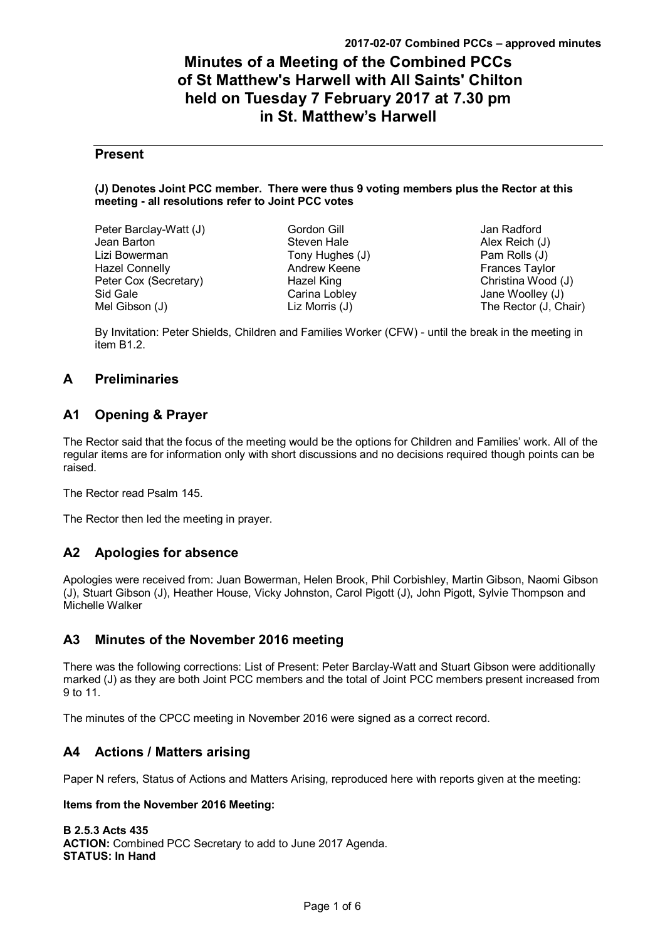# **Minutes of a Meeting of the Combined PCCs of St Matthew's Harwell with All Saints' Chilton held on Tuesday 7 February 2017 at 7.30 pm in St. Matthew's Harwell**

## **Present**

#### **(J) Denotes Joint PCC member. There were thus 9 voting members plus the Rector at this meeting - all resolutions refer to Joint PCC votes**

| Peter Barclay-Watt (J) |
|------------------------|
| Jean Barton            |
| Lizi Bowerman          |
| Hazel Connelly         |
| Peter Cox (Secretary)  |
| Sid Gale               |
| Mel Gibson (J)         |

Gordon Gill Steven Hale Tony Hughes (J) Andrew Keene Hazel King Carina Lobley Liz Morris (J)

Jan Radford Alex Reich (J) Pam Rolls (J) Frances Taylor Christina Wood (J) Jane Woolley (J) The Rector (J, Chair)

By Invitation: Peter Shields, Children and Families Worker (CFW) - until the break in the meeting in item B1.2.

# **A Preliminaries**

# **A1 Opening & Prayer**

The Rector said that the focus of the meeting would be the options for Children and Families' work. All of the regular items are for information only with short discussions and no decisions required though points can be raised.

The Rector read Psalm 145.

The Rector then led the meeting in prayer.

# **A2 Apologies for absence**

Apologies were received from: Juan Bowerman, Helen Brook, Phil Corbishley, Martin Gibson, Naomi Gibson (J), Stuart Gibson (J), Heather House, Vicky Johnston, Carol Pigott (J), John Pigott, Sylvie Thompson and Michelle Walker

# **A3 Minutes of the November 2016 meeting**

There was the following corrections: List of Present: Peter Barclay-Watt and Stuart Gibson were additionally marked (J) as they are both Joint PCC members and the total of Joint PCC members present increased from 9 to 11.

The minutes of the CPCC meeting in November 2016 were signed as a correct record.

# **A4 Actions / Matters arising**

Paper N refers, Status of Actions and Matters Arising, reproduced here with reports given at the meeting:

### **Items from the November 2016 Meeting:**

**B 2.5.3 Acts 435 ACTION:** Combined PCC Secretary to add to June 2017 Agenda. **STATUS: In Hand**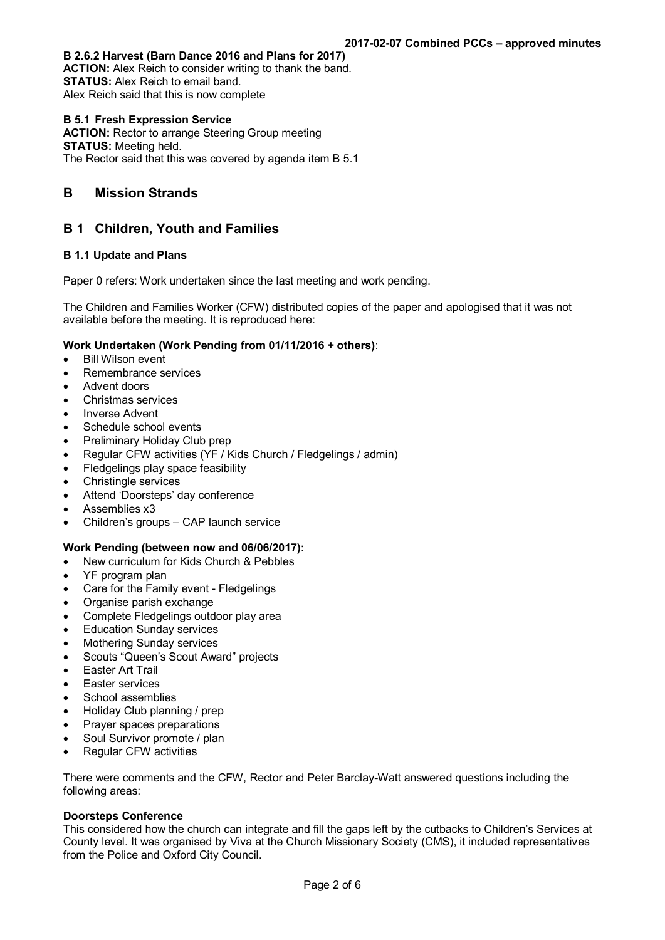#### **B 2.6.2 Harvest (Barn Dance 2016 and Plans for 2017)**

**ACTION:** Alex Reich to consider writing to thank the band. **STATUS:** Alex Reich to email band. Alex Reich said that this is now complete

#### **B 5.1 Fresh Expression Service**

**ACTION:** Rector to arrange Steering Group meeting **STATUS:** Meeting held. The Rector said that this was covered by agenda item B 5.1

## **B Mission Strands**

## **B 1 Children, Youth and Families**

### **B 1.1 Update and Plans**

Paper 0 refers: Work undertaken since the last meeting and work pending.

The Children and Families Worker (CFW) distributed copies of the paper and apologised that it was not available before the meeting. It is reproduced here:

#### **Work Undertaken (Work Pending from 01/11/2016 + others)**:

- Bill Wilson event
- Remembrance services
- Advent doors
- Christmas services
- Inverse Advent
- Schedule school events
- Preliminary Holiday Club prep
- Regular CFW activities (YF / Kids Church / Fledgelings / admin)
- Fledgelings play space feasibility
- Christingle services
- Attend 'Doorsteps' day conference
- Assemblies x3
- Children's groups CAP launch service

### **Work Pending (between now and 06/06/2017):**

- New curriculum for Kids Church & Pebbles
- YF program plan
- Care for the Family event Fledgelings
- Organise parish exchange
- Complete Fledgelings outdoor play area
- Education Sunday services
- Mothering Sunday services
- Scouts "Queen's Scout Award" projects
- Easter Art Trail
- Easter services
- School assemblies
- Holiday Club planning / prep
- Prayer spaces preparations
- Soul Survivor promote / plan
- Regular CFW activities

There were comments and the CFW, Rector and Peter Barclay-Watt answered questions including the following areas:

#### **Doorsteps Conference**

This considered how the church can integrate and fill the gaps left by the cutbacks to Children's Services at County level. It was organised by Viva at the Church Missionary Society (CMS), it included representatives from the Police and Oxford City Council.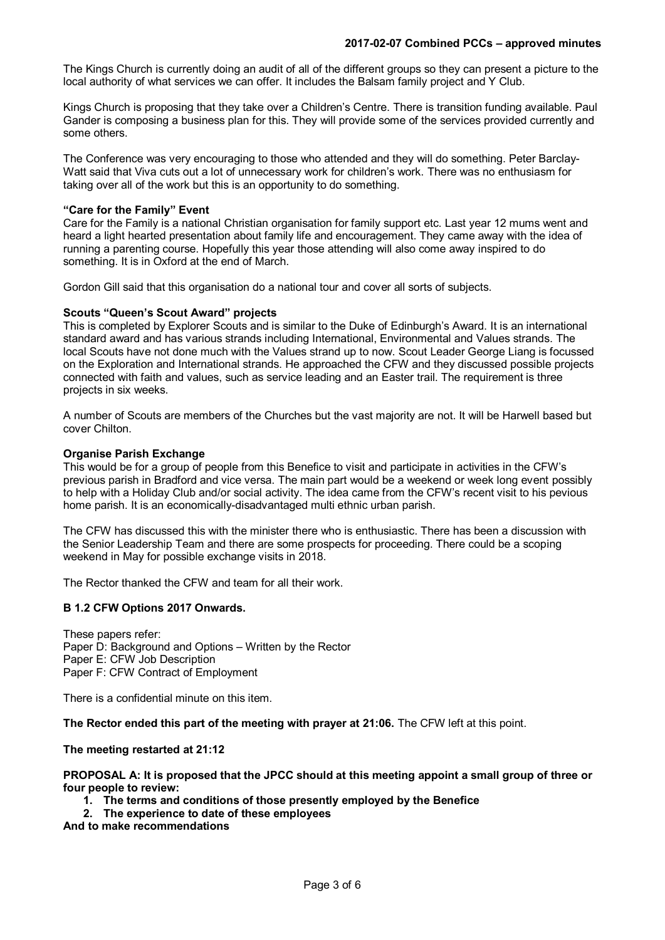The Kings Church is currently doing an audit of all of the different groups so they can present a picture to the local authority of what services we can offer. It includes the Balsam family project and Y Club.

Kings Church is proposing that they take over a Children's Centre. There is transition funding available. Paul Gander is composing a business plan for this. They will provide some of the services provided currently and some others.

The Conference was very encouraging to those who attended and they will do something. Peter Barclay-Watt said that Viva cuts out a lot of unnecessary work for children's work. There was no enthusiasm for taking over all of the work but this is an opportunity to do something.

#### **"Care for the Family" Event**

Care for the Family is a national Christian organisation for family support etc. Last year 12 mums went and heard a light hearted presentation about family life and encouragement. They came away with the idea of running a parenting course. Hopefully this year those attending will also come away inspired to do something. It is in Oxford at the end of March.

Gordon Gill said that this organisation do a national tour and cover all sorts of subjects.

#### **Scouts "Queen's Scout Award" projects**

This is completed by Explorer Scouts and is similar to the Duke of Edinburgh's Award. It is an international standard award and has various strands including International, Environmental and Values strands. The local Scouts have not done much with the Values strand up to now. Scout Leader George Liang is focussed on the Exploration and International strands. He approached the CFW and they discussed possible projects connected with faith and values, such as service leading and an Easter trail. The requirement is three projects in six weeks.

A number of Scouts are members of the Churches but the vast majority are not. It will be Harwell based but cover Chilton.

#### **Organise Parish Exchange**

This would be for a group of people from this Benefice to visit and participate in activities in the CFW's previous parish in Bradford and vice versa. The main part would be a weekend or week long event possibly to help with a Holiday Club and/or social activity. The idea came from the CFW's recent visit to his pevious home parish. It is an economically-disadvantaged multi ethnic urban parish.

The CFW has discussed this with the minister there who is enthusiastic. There has been a discussion with the Senior Leadership Team and there are some prospects for proceeding. There could be a scoping weekend in May for possible exchange visits in 2018.

The Rector thanked the CFW and team for all their work.

### **B 1.2 CFW Options 2017 Onwards.**

These papers refer: Paper D: Background and Options – Written by the Rector Paper E: CFW Job Description Paper F: CFW Contract of Employment

There is a confidential minute on this item.

**The Rector ended this part of the meeting with prayer at 21:06.** The CFW left at this point.

**The meeting restarted at 21:12**

#### **PROPOSAL A: It is proposed that the JPCC should at this meeting appoint a small group of three or four people to review:**

- **1. The terms and conditions of those presently employed by the Benefice**
- **2. The experience to date of these employees**

**And to make recommendations**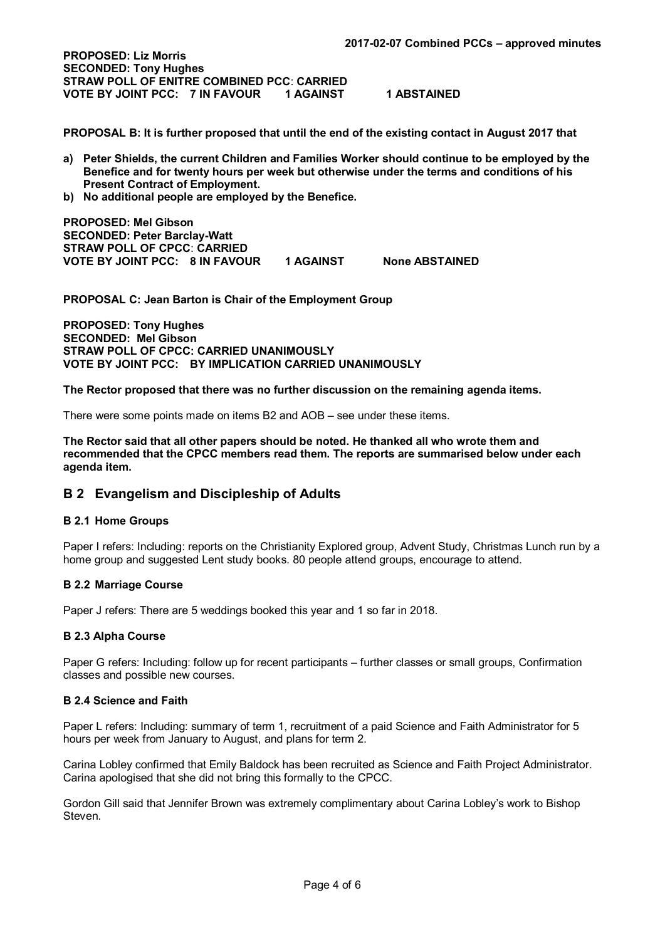**PROPOSED: Liz Morris SECONDED: Tony Hughes STRAW POLL OF ENITRE COMBINED PCC**: **CARRIED VOTE BY JOINT PCC: 7 IN FAVOUR 1 AGAINST 1 ABSTAINED** 

**PROPOSAL B: It is further proposed that until the end of the existing contact in August 2017 that**

- **a) Peter Shields, the current Children and Families Worker should continue to be employed by the Benefice and for twenty hours per week but otherwise under the terms and conditions of his Present Contract of Employment.**
- **b) No additional people are employed by the Benefice.**

**PROPOSED: Mel Gibson SECONDED: Peter Barclay-Watt STRAW POLL OF CPCC**: **CARRIED VOTE BY JOINT PCC: 8 IN FAVOUR 1 AGAINST None ABSTAINED** 

**PROPOSAL C: Jean Barton is Chair of the Employment Group**

**PROPOSED: Tony Hughes SECONDED: Mel Gibson STRAW POLL OF CPCC: CARRIED UNANIMOUSLY VOTE BY JOINT PCC: BY IMPLICATION CARRIED UNANIMOUSLY**

**The Rector proposed that there was no further discussion on the remaining agenda items.** 

There were some points made on items B2 and AOB – see under these items.

**The Rector said that all other papers should be noted. He thanked all who wrote them and recommended that the CPCC members read them. The reports are summarised below under each agenda item.**

## **B 2 Evangelism and Discipleship of Adults**

#### **B 2.1 Home Groups**

Paper I refers: Including: reports on the Christianity Explored group, Advent Study, Christmas Lunch run by a home group and suggested Lent study books. 80 people attend groups, encourage to attend.

#### **B 2.2 Marriage Course**

Paper J refers: There are 5 weddings booked this year and 1 so far in 2018.

#### **B 2.3 Alpha Course**

Paper G refers: Including: follow up for recent participants – further classes or small groups, Confirmation classes and possible new courses.

#### **B 2.4 Science and Faith**

Paper L refers: Including: summary of term 1, recruitment of a paid Science and Faith Administrator for 5 hours per week from January to August, and plans for term 2.

Carina Lobley confirmed that Emily Baldock has been recruited as Science and Faith Project Administrator. Carina apologised that she did not bring this formally to the CPCC.

Gordon Gill said that Jennifer Brown was extremely complimentary about Carina Lobley's work to Bishop Steven.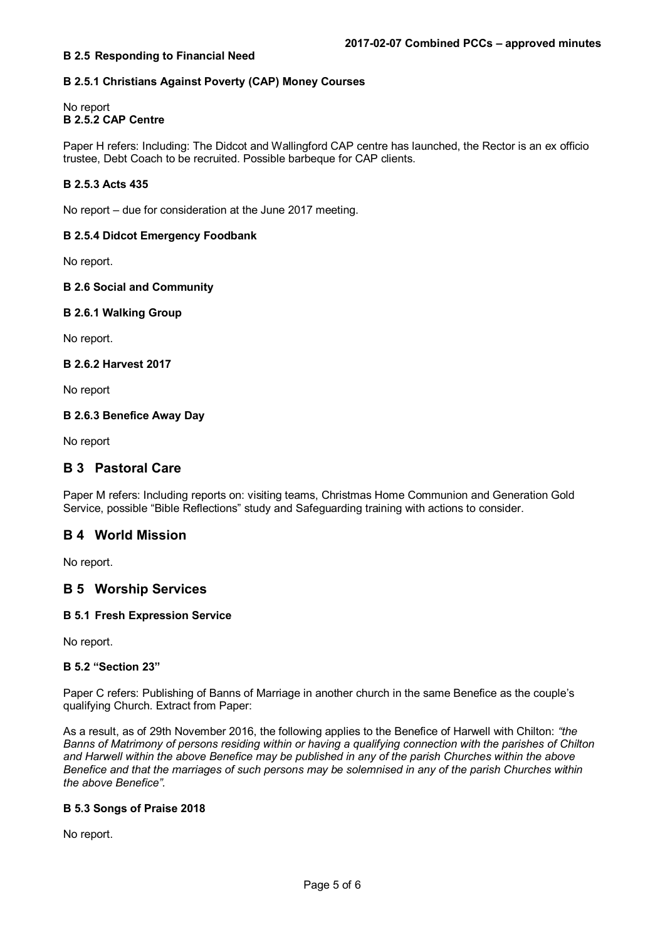### **B 2.5 Responding to Financial Need**

## **B 2.5.1 Christians Against Poverty (CAP) Money Courses**

### No report **B 2.5.2 CAP Centre**

Paper H refers: Including: The Didcot and Wallingford CAP centre has launched, the Rector is an ex officio trustee, Debt Coach to be recruited. Possible barbeque for CAP clients.

### **B 2.5.3 Acts 435**

No report – due for consideration at the June 2017 meeting.

### **B 2.5.4 Didcot Emergency Foodbank**

No report.

## **B 2.6 Social and Community**

### **B 2.6.1 Walking Group**

No report.

### **B 2.6.2 Harvest 2017**

No report

### **B 2.6.3 Benefice Away Day**

No report

# **B 3 Pastoral Care**

Paper M refers: Including reports on: visiting teams, Christmas Home Communion and Generation Gold Service, possible "Bible Reflections" study and Safeguarding training with actions to consider.

## **B 4 World Mission**

No report.

## **B 5 Worship Services**

### **B 5.1 Fresh Expression Service**

No report.

### **B 5.2 "Section 23"**

Paper C refers: Publishing of Banns of Marriage in another church in the same Benefice as the couple's qualifying Church. Extract from Paper:

As a result, as of 29th November 2016, the following applies to the Benefice of Harwell with Chilton: *"the Banns of Matrimony of persons residing within or having a qualifying connection with the parishes of Chilton and Harwell within the above Benefice may be published in any of the parish Churches within the above Benefice and that the marriages of such persons may be solemnised in any of the parish Churches within the above Benefice".*

#### **B 5.3 Songs of Praise 2018**

No report.